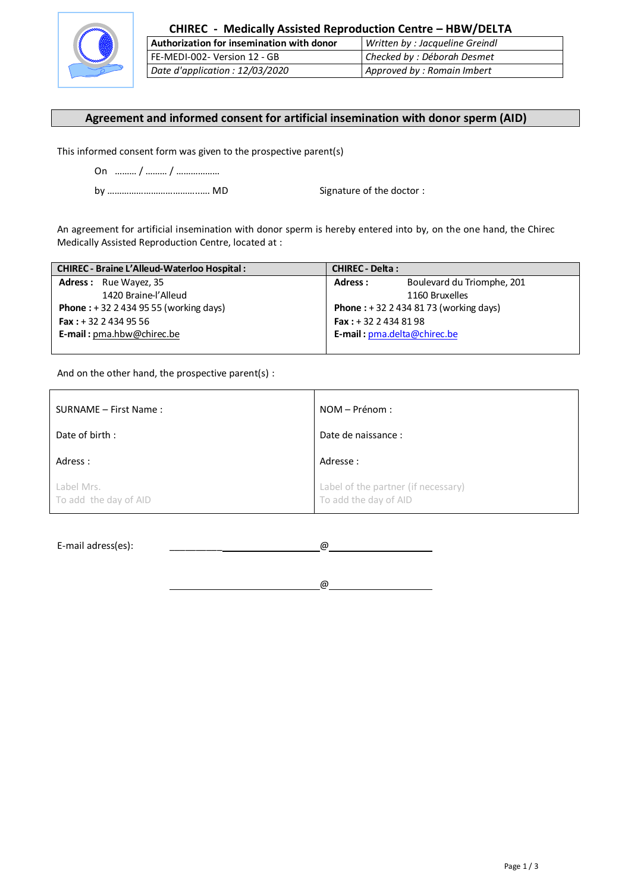

| CHIREC - Medically Assisted Reproduction Centre - HBW/DELTA |                                |  |
|-------------------------------------------------------------|--------------------------------|--|
| Authorization for insemination with donor                   | Written by: Jacqueline Greindl |  |
| FE-MEDI-002- Version 12 - GB                                | Checked by: Déborah Desmet     |  |
| Date d'application : 12/03/2020                             | Approved by : Romain Imbert    |  |

## **Agreement and informed consent for artificial insemination with donor sperm (AID)**

This informed consent form was given to the prospective parent(s)

by ………………………………..…. MD Signature of the doctor :

An agreement for artificial insemination with donor sperm is hereby entered into by, on the one hand, the Chirec Medically Assisted Reproduction Centre, located at :

| <b>CHIREC - Braine L'Alleud-Waterloo Hospital:</b> | <b>CHIREC - Delta:</b>                          |  |
|----------------------------------------------------|-------------------------------------------------|--|
| <b>Adress:</b> Rue Wayez, 35                       | Boulevard du Triomphe, 201<br>Adress:           |  |
| 1420 Braine-l'Alleud                               | 1160 Bruxelles                                  |  |
| <b>Phone</b> : $+3224349555$ (working days)        | <b>Phone</b> : $+32$ 2 434 81 73 (working days) |  |
| <b>Fax:</b> $+32$ 2 434 95 56                      | <b>Fax</b> : $+32$ 2 434 81 98                  |  |
| E-mail: pma.hbw@chirec.be                          | E-mail: pma.delta@chirec.be                     |  |
|                                                    |                                                 |  |

And on the other hand, the prospective parent(s) :

| SURNAME - First Name:               | NOM – Prénom :                                               |
|-------------------------------------|--------------------------------------------------------------|
| Date of birth:                      | Date de naissance :                                          |
| Adress :                            | Adresse :                                                    |
| Label Mrs.<br>To add the day of AID | Label of the partner (if necessary)<br>To add the day of AID |

E-mail adress(es):  $\qquad \qquad \boxed{\omega}$ 

@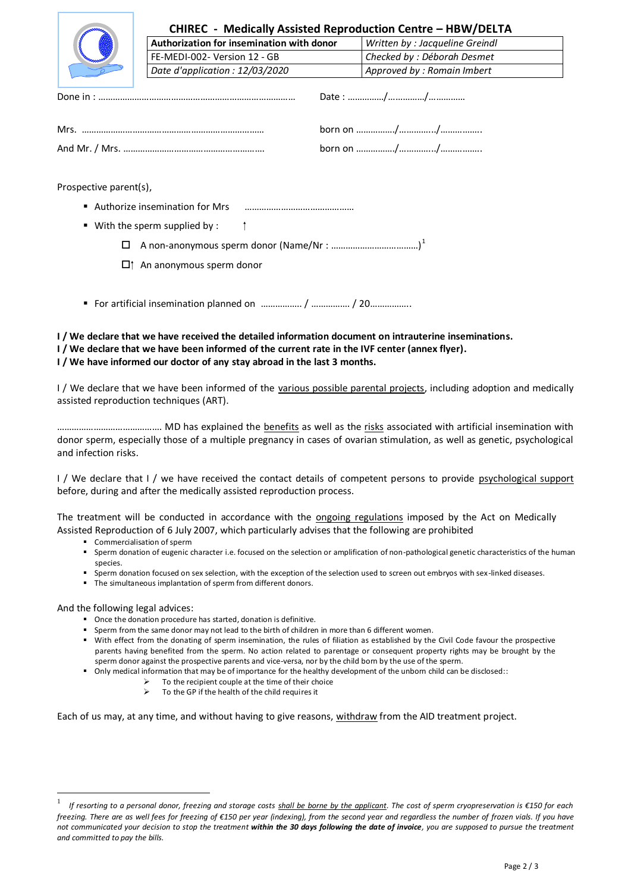|                        | CHIREC - Medically Assisted Reproduction Centre - HBW/DELTA<br>Authorization for insemination with donor |  | Written by : Jacqueline Greindl |  |
|------------------------|----------------------------------------------------------------------------------------------------------|--|---------------------------------|--|
|                        | FE-MEDI-002- Version 12 - GB                                                                             |  | Checked by : Déborah Desmet     |  |
|                        | Date d'application : 12/03/2020                                                                          |  | Approved by : Romain Imbert     |  |
|                        |                                                                                                          |  |                                 |  |
|                        |                                                                                                          |  |                                 |  |
|                        |                                                                                                          |  |                                 |  |
| Prospective parent(s), |                                                                                                          |  |                                 |  |
|                        | Authorize insemination for Mrs                                                                           |  |                                 |  |
|                        | With the sperm supplied by:                                                                              |  |                                 |  |

- A non-anonymous sperm donor (Name/Nr : ………………………………) 1
- $\Box$ † An anonymous sperm donor
- For artificial insemination planned on ………………. / ………………. / 20………………

## **I / We declare that we have received the detailed information document on intrauterine inseminations. I / We declare that we have been informed of the current rate in the IVF center (annex flyer). I / We have informed our doctor of any stay abroad in the last 3 months.**

I / We declare that we have been informed of the various possible parental projects, including adoption and medically assisted reproduction techniques (ART).

……………………………………. MD has explained the benefits as well as the risks associated with artificial insemination with donor sperm, especially those of a multiple pregnancy in cases of ovarian stimulation, as well as genetic, psychological and infection risks.

I / We declare that I / we have received the contact details of competent persons to provide psychological support before, during and after the medically assisted reproduction process.

The treatment will be conducted in accordance with the ongoing regulations imposed by the Act on Medically Assisted Reproduction of 6 July 2007, which particularly advises that the following are prohibited

- Commercialisation of sperm
- Sperm donation of eugenic character i.e. focused on the selection or amplification of non-pathological genetic characteristics of the human species.
- Sperm donation focused on sex selection, with the exception of the selection used to screen out embryos with sex-linked diseases.
- The simultaneous implantation of sperm from different donors.

And the following legal advices:

1

- Once the donation procedure has started, donation is definitive.
- Sperm from the same donor may not lead to the birth of children in more than 6 different women.
- With effect from the donating of sperm insemination, the rules of filiation as established by the Civil Code favour the prospective parents having benefited from the sperm. No action related to parentage or consequent property rights may be brought by the sperm donor against the prospective parents and vice-versa, nor by the child born by the use of the sperm.
- Only medical information that may be of importance for the healthy development of the unborn child can be disclosed::
	- $\triangleright$  To the recipient couple at the time of their choice
		- $\triangleright$  To the GP if the health of the child requires it

Each of us may, at any time, and without having to give reasons, withdraw from the AID treatment project.

<sup>1</sup>  *If resorting to a personal donor, freezing and storage costs shall be borne by the applicant. The cost of sperm cryopreservation is €150 for each*  freezing. There are as well fees for freezing of €150 per year (indexing), from the second year and regardless the number of frozen vials. If you have *not communicated your decision to stop the treatment within the 30 days following the date of invoice, you are supposed to pursue the treatment and committed to pay the bills.*